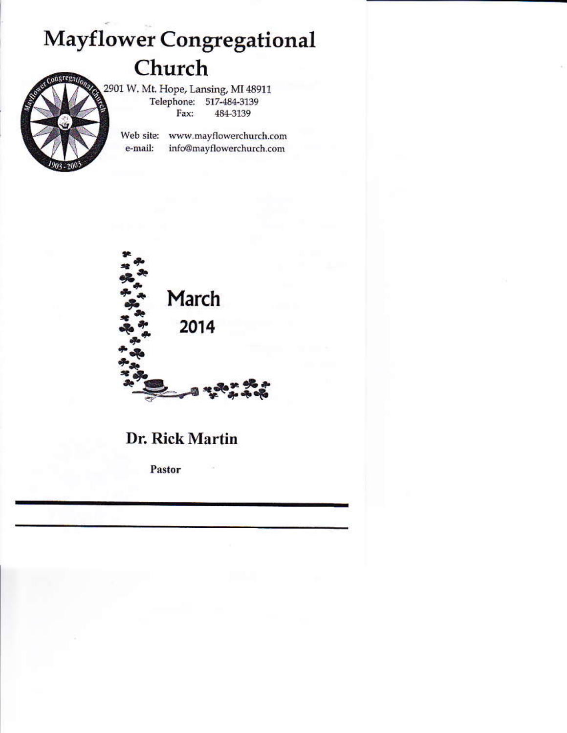# **Mayflower Congregational** Church

2901 W. Mt. Hope, Lansing, MI 48911 Telephone: 517-484-3139 Fax: 484-3139

> Web site: www.mayflowerchurch.com e-mail: info@mayflowerchurch.com



## Dr. Rick Martin

Pastor

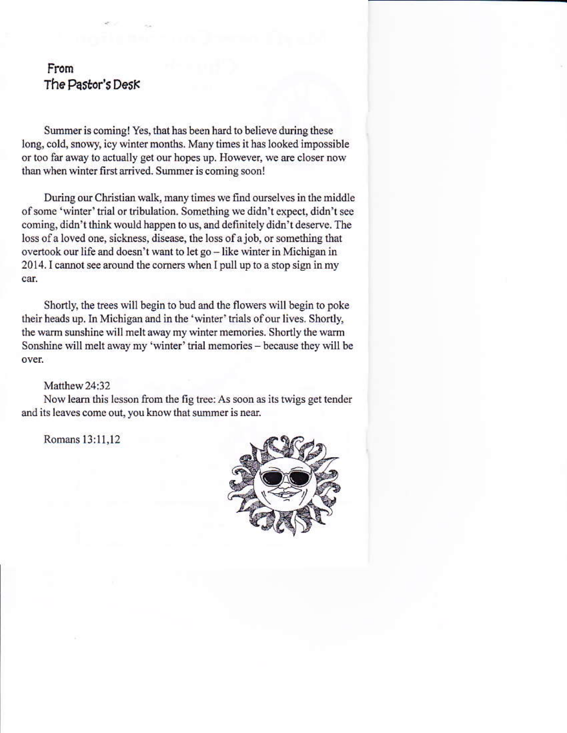## From The Pastor's Desk

Summer is coming! Yes, that has been hard to believe during these long, cold, snowy, icy winter months. Many times it has looked impossible or too far away to actually get our hopes up. However, we are closer now than when winter first arrived. Summer is coming soon!

During our Christian walk, many times we find ourselves in the middle of some 'winter' trial or tribulation. Something we didn't expect, didn't see coming, didn't think would happen to us, and definitely didn't deserve. The loss of a loved one, sickness, disease, the loss of a job, or something that overtook our life and doesn't want to let go - like winter in Michigan in 2014. I cannot see around the corners when I pull up to a stop sign in my car.

Shortly, the trees will begin to bud and the flowers will begin to poke their heads up. In Michigan and in the 'winter' trials of our lives. Shortly, the warm sunshine will melt away my winter memories. Shortly the warm Sonshine will melt away my 'winter' trial memories - because they will be over.

#### Matthew 24:32

Now learn this lesson from the fig tree: As soon as its twigs get tender and its leaves come out, you know that summer is near.

Romans 13:11,12

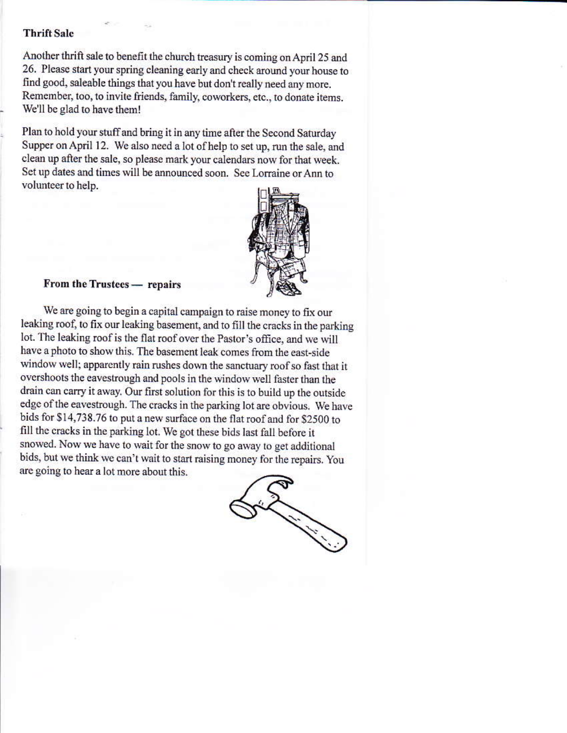#### **Thrift Sale**

Another thrift sale to benefit the church treasury is coming on April 25 and 26. Please start your spring cleaning early and check around your house to find good, saleable things that you have but don't really need any more. Remember, too, to invite friends, family, coworkers, etc., to donate items. We'll be glad to have them!

Plan to hold your stuff and bring it in any time after the Second Saturday Supper on April 12. We also need a lot of help to set up, run the sale, and clean up after the sale, so please mark your calendars now for that week. Set up dates and times will be announced soon. See Lorraine or Ann to volunteer to help.



## From the Trustees - repairs

We are going to begin a capital campaign to raise money to fix our leaking roof, to fix our leaking basement, and to fill the cracks in the parking lot. The leaking roof is the flat roof over the Pastor's office, and we will have a photo to show this. The basement leak comes from the east-side window well; apparently rain rushes down the sanctuary roof so fast that it overshoots the eavestrough and pools in the window well faster than the drain can carry it away. Our first solution for this is to build up the outside edge of the eavestrough. The cracks in the parking lot are obvious. We have bids for \$14,738.76 to put a new surface on the flat roof and for \$2500 to fill the cracks in the parking lot. We got these bids last fall before it snowed. Now we have to wait for the snow to go away to get additional bids, but we think we can't wait to start raising money for the repairs. You are going to hear a lot more about this.

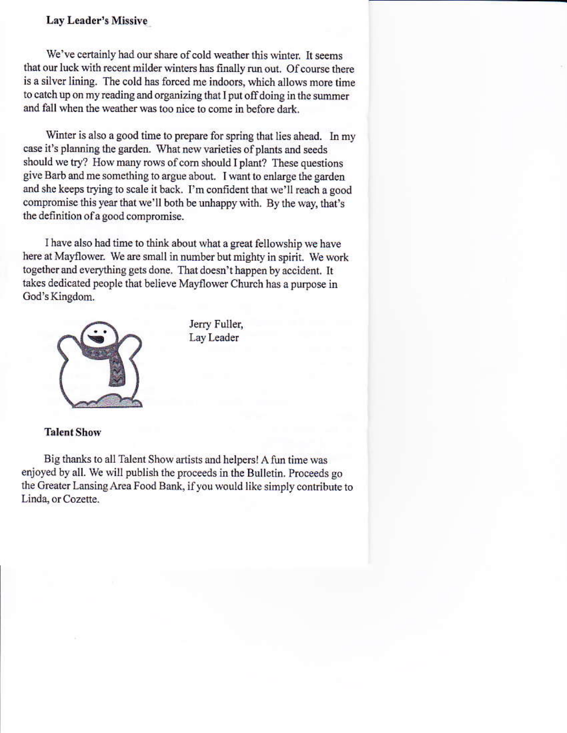## Lay Leader's Missive

We've certainly had our share of cold weather this winter. It seems that our luck with recent milder winters has finally run out. Of course there is a silver lining. The cold has forced me indoors, which allows more time to catch up on my reading and organizing that I put off doing in the summer and fall when the weather was too nice to come in before dark.

Winter is also a good time to prepare for spring that lies ahead. In my case it's planning the garden. What new varieties of plants and seeds should we try? How many rows of corn should I plant? These questions give Barb and me something to argue about. I want to enlarge the garden and she keeps trying to scale it back. I'm confident that we'll reach a good compromise this year that we'll both be unhappy with. By the way, that's the definition of a good compromise.

I have also had time to think about what a great fellowship we have here at Mayflower. We are small in number but mighty in spirit. We work together and everything gets done. That doesn't happen by accident. It takes dedicated people that believe Mayflower Church has a purpose in God's Kingdom.



Jerry Fuller, Lay Leader

#### **Talent Show**

Big thanks to all Talent Show artists and helpers! A fun time was enjoyed by all. We will publish the proceeds in the Bulletin. Proceeds go the Greater Lansing Area Food Bank, if you would like simply contribute to Linda, or Cozette.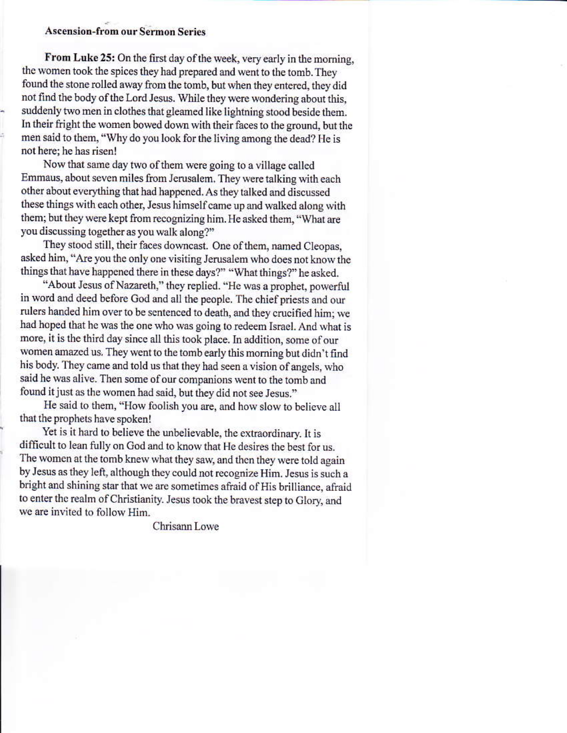## **Ascension-from our Sermon Series**

From Luke 25: On the first day of the week, very early in the morning, the women took the spices they had prepared and went to the tomb. They found the stone rolled away from the tomb, but when they entered, they did not find the body of the Lord Jesus. While they were wondering about this, suddenly two men in clothes that gleamed like lightning stood beside them. In their fright the women bowed down with their faces to the ground, but the men said to them, "Why do you look for the living among the dead? He is not here; he has risen!

Now that same day two of them were going to a village called Emmaus, about seven miles from Jerusalem. They were talking with each other about everything that had happened. As they talked and discussed these things with each other, Jesus himself came up and walked along with them; but they were kept from recognizing him. He asked them, "What are you discussing together as you walk along?"

They stood still, their faces downcast. One of them, named Cleopas, asked him, "Are you the only one visiting Jerusalem who does not know the things that have happened there in these days?" "What things?" he asked.

"About Jesus of Nazareth," they replied. "He was a prophet, powerful in word and deed before God and all the people. The chief priests and our rulers handed him over to be sentenced to death, and they crucified him; we had hoped that he was the one who was going to redeem Israel. And what is more, it is the third day since all this took place. In addition, some of our women amazed us. They went to the tomb early this morning but didn't find his body. They came and told us that they had seen a vision of angels, who said he was alive. Then some of our companions went to the tomb and found it just as the women had said, but they did not see Jesus."

He said to them, "How foolish you are, and how slow to believe all that the prophets have spoken!

Yet is it hard to believe the unbelievable, the extraordinary. It is difficult to lean fully on God and to know that He desires the best for us. The women at the tomb knew what they saw, and then they were told again by Jesus as they left, although they could not recognize Him. Jesus is such a bright and shining star that we are sometimes afraid of His brilliance, afraid to enter the realm of Christianity. Jesus took the bravest step to Glory, and we are invited to follow Him.

Chrisann Lowe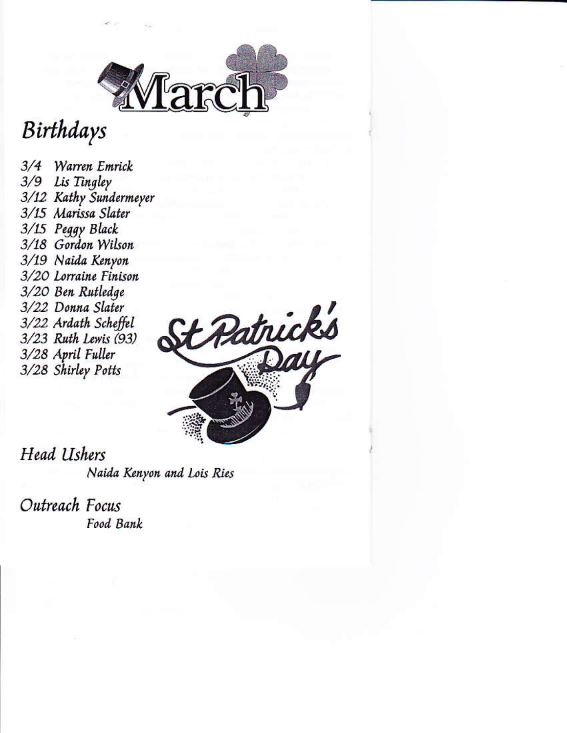

## Birthdays

3/4 Warren Emrick 3/9 Lis Tingley 3/12 Kathy Sundermeyer 3/15 Marissa Slater 3/15 Peggy Black 3/18 Gordon Wilson 3/19 Naida Kenyon 3/20 Lorraine Finison 3/20 Ben Rutledge 3/22 Donna Slater 3/22 Ardath Scheffel 3/23 Ruth Lewis (93) 3/28 April Fuller 3/28 Shirley Potts



**Head Ushers** Naida Kenyon and Lois Ries

Outreach Focus Food Bank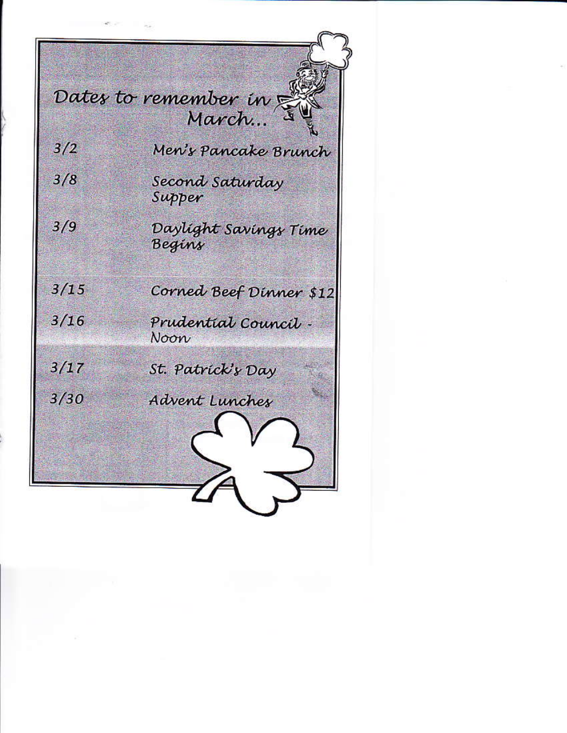Dates to remember in March...

Men's Pancake Brunch

Second Saturday Supper

Daylight Savings Time Begins

Corned Beef Dinner \$12

 $3/15$ 

 $3/2$ 

 $3/8$ 

 $3/9$ 

 $3/16$ 

Prudential Council -Noon

 $3/17$ 

 $3/30$ 

St. Patrick's Dav

Advent Lunches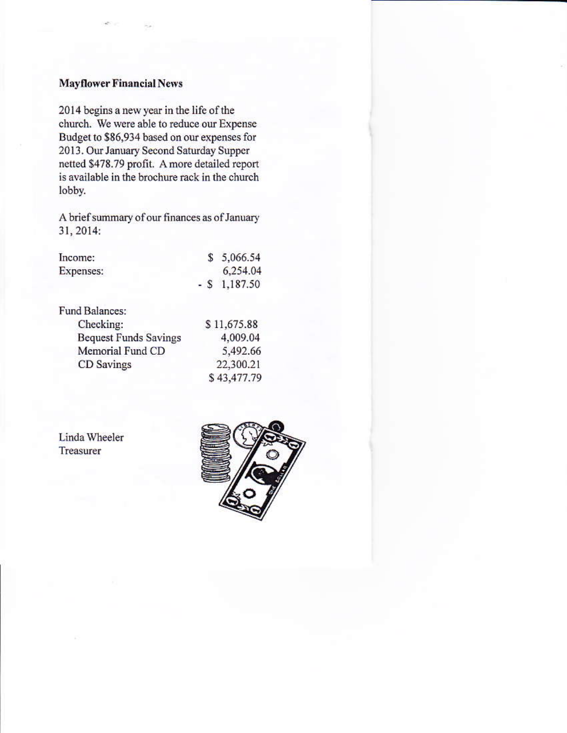## **Mayflower Financial News**

2014 begins a new year in the life of the church. We were able to reduce our Expense Budget to \$86,934 based on our expenses for 2013. Our January Second Saturday Supper netted \$478.79 profit. A more detailed report is available in the brochure rack in the church lobby.

A brief summary of our finances as of January 31, 2014:

| Income:   | \$5,066.54      |
|-----------|-----------------|
| Expenses: | 6,254.04        |
|           | $-$ \$ 1,187.50 |

Fund Balances: Checking: \$11,675.88 **Bequest Funds Savings** 4,009.04 Memorial Fund CD 5,492.66 22,300.21 CD Savings \$43,477.79

Linda Wheeler Treasurer

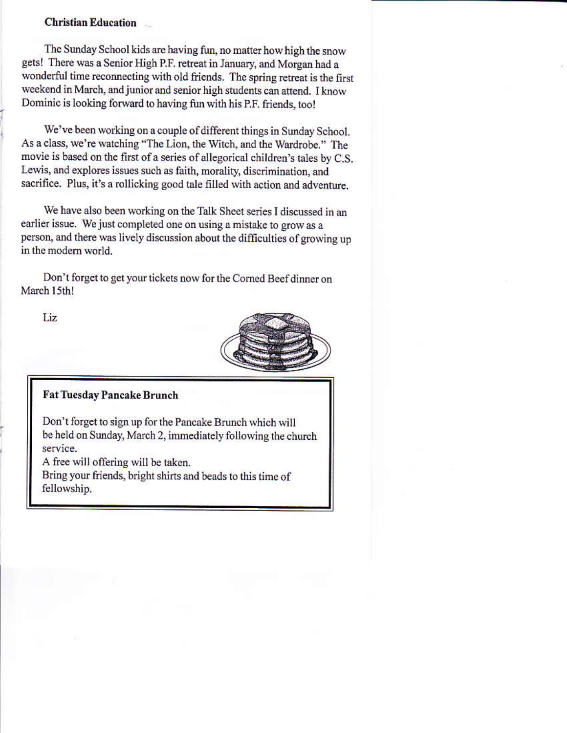## **Christian Education**

The Sunday School kids are having fun, no matter how high the snow gets! There was a Senior High P.F. retreat in January, and Morgan had a wonderful time reconnecting with old friends. The spring retreat is the first weekend in March, and junior and senior high students can attend. I know Dominic is looking forward to having fun with his P.F. friends, too!

We've been working on a couple of different things in Sunday School. As a class, we're watching "The Lion, the Witch, and the Wardrobe." The movie is based on the first of a series of allegorical children's tales by C.S. Lewis, and explores issues such as faith, morality, discrimination, and sacrifice. Plus, it's a rollicking good tale filled with action and adventure.

We have also been working on the Talk Sheet series I discussed in an earlier issue. We just completed one on using a mistake to grow as a person, and there was lively discussion about the difficulties of growing up in the modern world

Don't forget to get your tickets now for the Corned Beef dinner on March 15th!

Liz.



## **Fat Tuesday Pancake Brunch**

Don't forget to sign up for the Pancake Brunch which will be held on Sunday, March 2, immediately following the church service.

A free will offering will be taken.

Bring your friends, bright shirts and beads to this time of fellowship.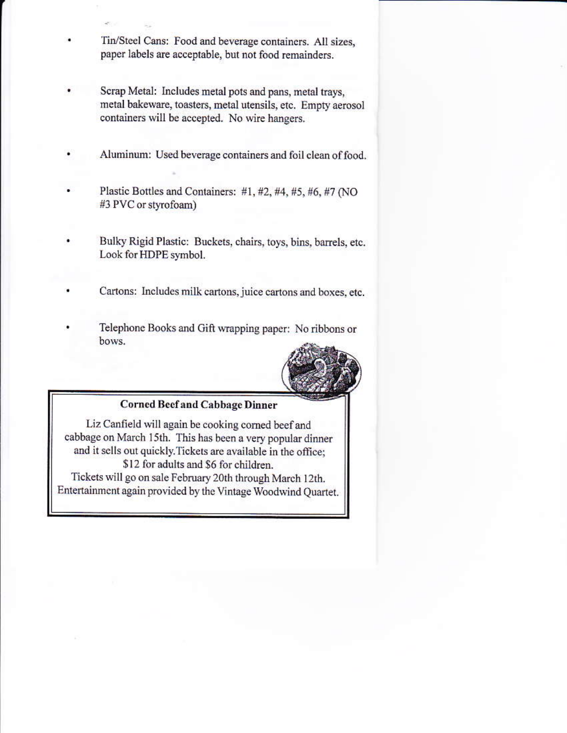- Tin/Steel Cans: Food and beverage containers. All sizes, paper labels are acceptable, but not food remainders.
- Scrap Metal: Includes metal pots and pans, metal trays, metal bakeware, toasters, metal utensils, etc. Empty aerosol containers will be accepted. No wire hangers.
- Aluminum: Used beverage containers and foil clean of food
- Plastic Bottles and Containers: #1, #2, #4, #5, #6, #7 (NO #3 PVC or styrofoam)
- Bulky Rigid Plastic: Buckets, chairs, toys, bins, barrels, etc. Look for HDPE symbol.
- Cartons: Includes milk cartons, juice cartons and boxes, etc.
- Telephone Books and Gift wrapping paper: No ribbons or bows.



## **Corned Beef and Cabbage Dinner**

Liz Canfield will again be cooking corned beef and cabbage on March 15th. This has been a very popular dinner and it sells out quickly. Tickets are available in the office; \$12 for adults and \$6 for children.

Tickets will go on sale February 20th through March 12th. Entertainment again provided by the Vintage Woodwind Quartet.